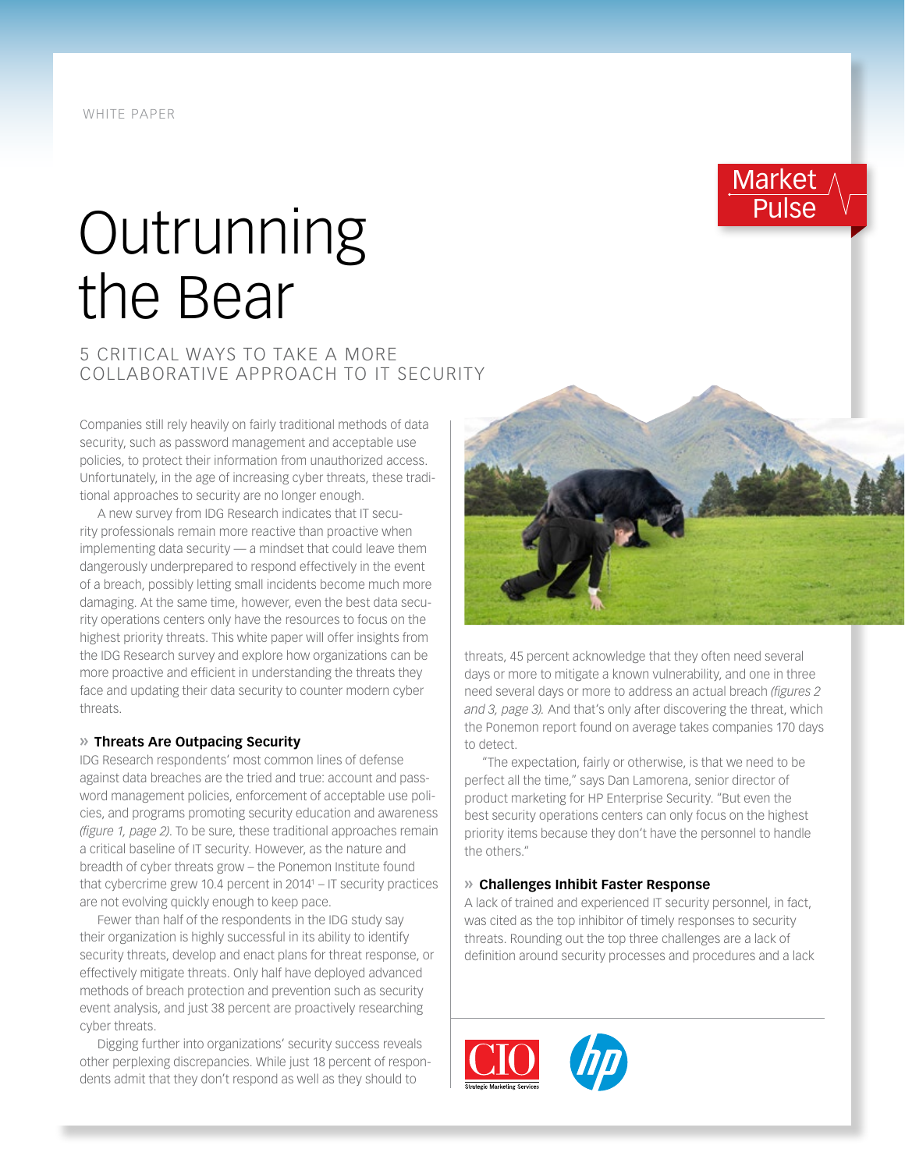# **Outrunning** the Bear

### 5 CRITICAL WAYS TO TAKE A MORE COLLABORATIVE APPROACH TO IT SECURITY

Companies still rely heavily on fairly traditional methods of data security, such as password management and acceptable use policies, to protect their information from unauthorized access. Unfortunately, in the age of increasing cyber threats, these traditional approaches to security are no longer enough.

A new survey from IDG Research indicates that IT security professionals remain more reactive than proactive when implementing data security — a mindset that could leave them dangerously underprepared to respond effectively in the event of a breach, possibly letting small incidents become much more damaging. At the same time, however, even the best data security operations centers only have the resources to focus on the highest priority threats. This white paper will offer insights from the IDG Research survey and explore how organizations can be more proactive and efficient in understanding the threats they face and updating their data security to counter modern cyber threats.

#### **» Threats Are Outpacing Security**

IDG Research respondents' most common lines of defense against data breaches are the tried and true: account and password management policies, enforcement of acceptable use policies, and programs promoting security education and awareness *(figure 1, page 2)*. To be sure, these traditional approaches remain a critical baseline of IT security. However, as the nature and breadth of cyber threats grow – the Ponemon Institute found that cybercrime grew 10.4 percent in 2014<sup>1</sup> – IT security practices are not evolving quickly enough to keep pace.

Fewer than half of the respondents in the IDG study say their organization is highly successful in its ability to identify security threats, develop and enact plans for threat response, or effectively mitigate threats. Only half have deployed advanced methods of breach protection and prevention such as security event analysis, and just 38 percent are proactively researching cyber threats.

Digging further into organizations' security success reveals other perplexing discrepancies. While just 18 percent of respondents admit that they don't respond as well as they should to



Market

Pulse

threats, 45 percent acknowledge that they often need several days or more to mitigate a known vulnerability, and one in three need several days or more to address an actual breach *(figures 2 and 3, page 3).* And that's only after discovering the threat, which the Ponemon report found on average takes companies 170 days to detect.

"The expectation, fairly or otherwise, is that we need to be perfect all the time," says Dan Lamorena, senior director of product marketing for HP Enterprise Security. "But even the best security operations centers can only focus on the highest priority items because they don't have the personnel to handle the others."

#### **» Challenges Inhibit Faster Response**

A lack of trained and experienced IT security personnel, in fact, was cited as the top inhibitor of timely responses to security threats. Rounding out the top three challenges are a lack of definition around security processes and procedures and a lack

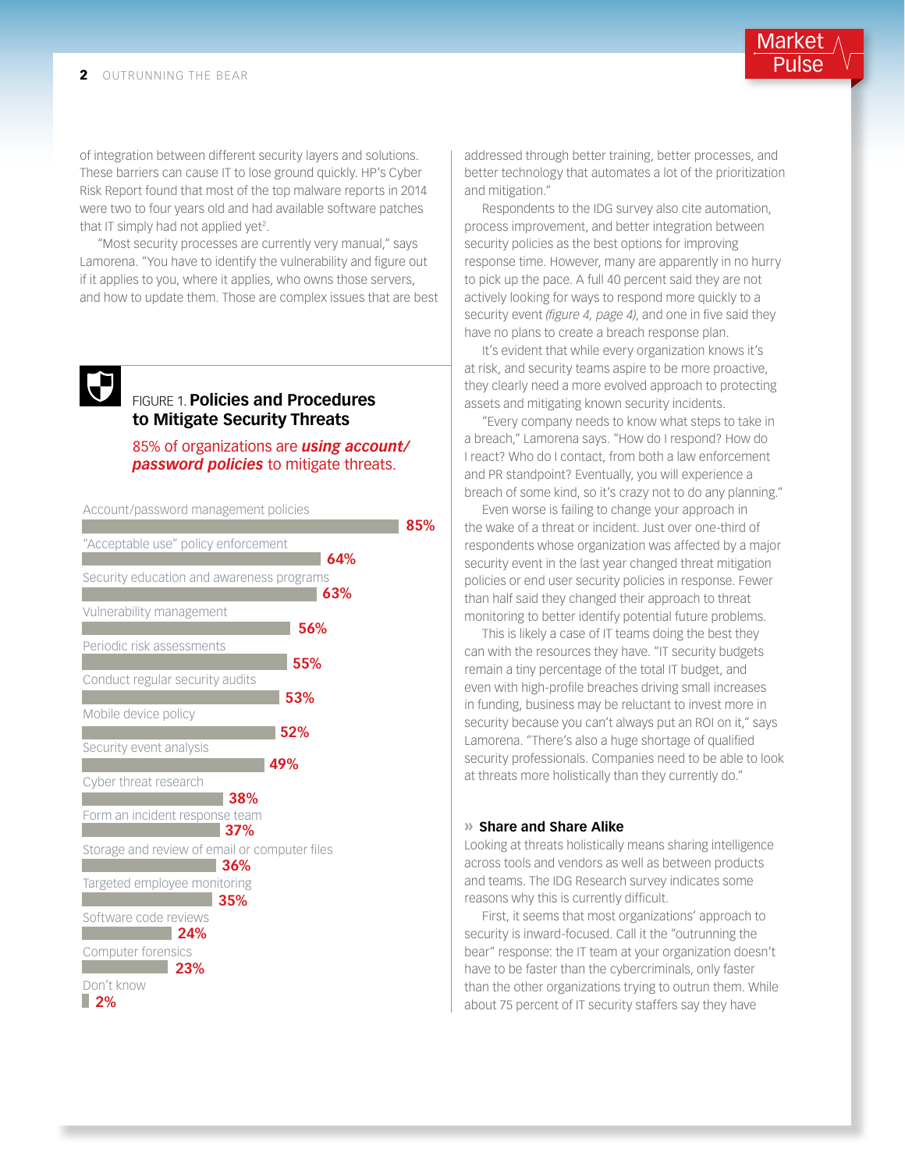of integration between different security layers and solutions. These barriers can cause IT to lose ground quickly. HP's Cyber Risk Report found that most of the top malware reports in 2014 were two to four years old and had available software patches that IT simply had not applied yet<sup>2</sup>.

"Most security processes are currently very manual," says Lamorena. "You have to identify the vulnerability and figure out if it applies to you, where it applies, who owns those servers, and how to update them. Those are complex issues that are best

## $\bigoplus$

#### FIGURE 1. **Policies and Procedures to Mitigate Security Threats**

85% of organizations are *using account/ password policies* to mitigate threats.

**85%**

Account/password management policies "Acceptable use" policy enforcement Security education and awareness programs Vulnerability management Periodic risk assessments Conduct regular security audits Mobile device policy Security event analysis Cyber threat research Form an incident response team Storage and review of email or computer files Targeted employee monitoring Software code reviews Computer forensics Don't know **64% 63% 56% 55% 53% 52% 49% 38% 37% 36% 35% 24% 23% 2%**

addressed through better training, better processes, and better technology that automates a lot of the prioritization and mitigation."

Market Pulse

Respondents to the IDG survey also cite automation, process improvement, and better integration between security policies as the best options for improving response time. However, many are apparently in no hurry to pick up the pace. A full 40 percent said they are not actively looking for ways to respond more quickly to a security event *(figure 4, page 4)*, and one in five said they have no plans to create a breach response plan.

It's evident that while every organization knows it's at risk, and security teams aspire to be more proactive, they clearly need a more evolved approach to protecting assets and mitigating known security incidents.

"Every company needs to know what steps to take in a breach," Lamorena says. "How do I respond? How do I react? Who do I contact, from both a law enforcement and PR standpoint? Eventually, you will experience a breach of some kind, so it's crazy not to do any planning."

Even worse is failing to change your approach in the wake of a threat or incident. Just over one-third of respondents whose organization was affected by a major security event in the last year changed threat mitigation policies or end user security policies in response. Fewer than half said they changed their approach to threat monitoring to better identify potential future problems.

This is likely a case of IT teams doing the best they can with the resources they have. "IT security budgets remain a tiny percentage of the total IT budget, and even with high-profile breaches driving small increases in funding, business may be reluctant to invest more in security because you can't always put an ROI on it," says Lamorena. "There's also a huge shortage of qualified security professionals. Companies need to be able to look at threats more holistically than they currently do."

#### **» Share and Share Alike**

Looking at threats holistically means sharing intelligence across tools and vendors as well as between products and teams. The IDG Research survey indicates some reasons why this is currently difficult.

First, it seems that most organizations' approach to security is inward-focused. Call it the "outrunning the bear" response: the IT team at your organization doesn't have to be faster than the cybercriminals, only faster than the other organizations trying to outrun them. While about 75 percent of IT security staffers say they have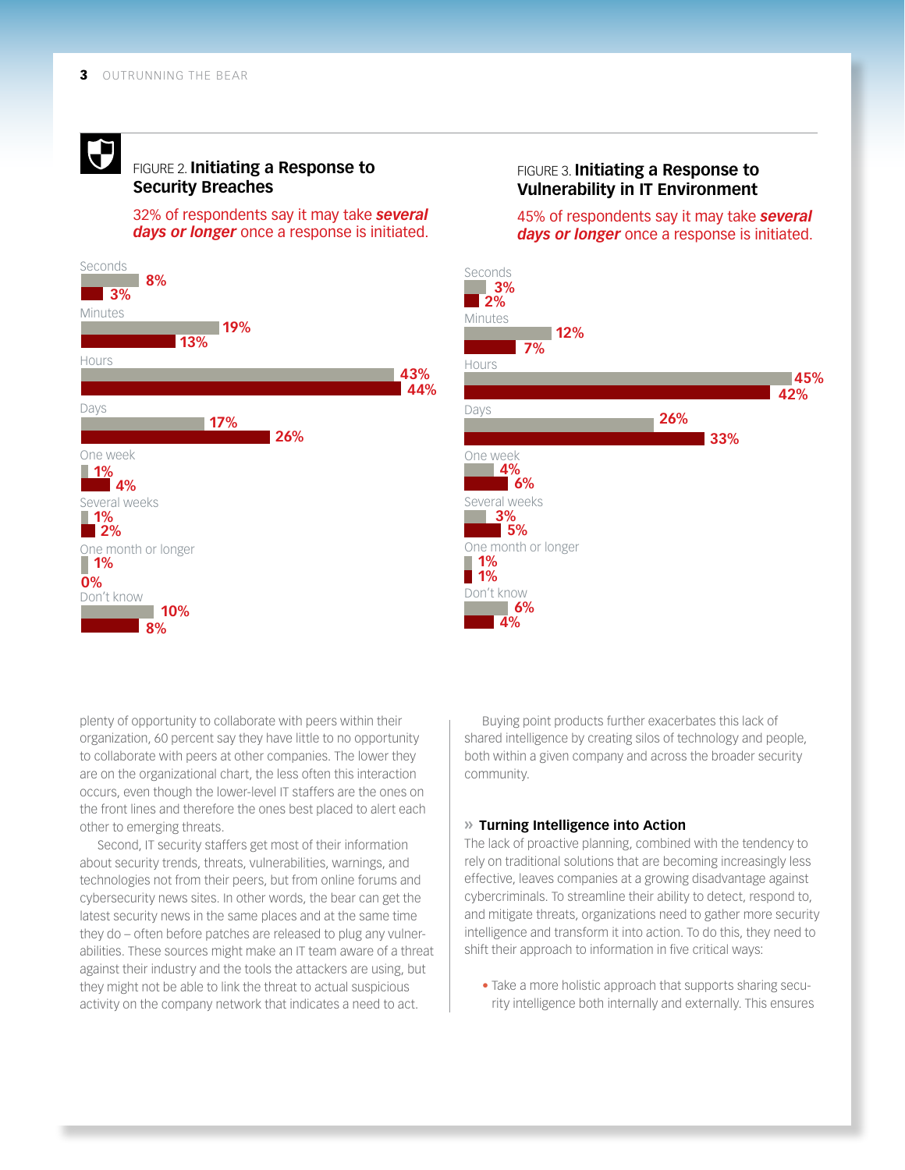## $\bigoplus$

#### FIGURE 2. **Initiating a Response to Security Breaches**

32% of respondents say it may take *several days or longer* once a response is initiated.



#### FIGURE 3. **Initiating a Response to Vulnerability in IT Environment**

45% of respondents say it may take *several days or longer* once a response is initiated.



plenty of opportunity to collaborate with peers within their organization, 60 percent say they have little to no opportunity to collaborate with peers at other companies. The lower they are on the organizational chart, the less often this interaction occurs, even though the lower-level IT staffers are the ones on the front lines and therefore the ones best placed to alert each other to emerging threats.

Second, IT security staffers get most of their information about security trends, threats, vulnerabilities, warnings, and technologies not from their peers, but from online forums and cybersecurity news sites. In other words, the bear can get the latest security news in the same places and at the same time they do – often before patches are released to plug any vulnerabilities. These sources might make an IT team aware of a threat against their industry and the tools the attackers are using, but they might not be able to link the threat to actual suspicious activity on the company network that indicates a need to act.

Buying point products further exacerbates this lack of shared intelligence by creating silos of technology and people, both within a given company and across the broader security community.

#### **» Turning Intelligence into Action**

The lack of proactive planning, combined with the tendency to rely on traditional solutions that are becoming increasingly less effective, leaves companies at a growing disadvantage against cybercriminals. To streamline their ability to detect, respond to, and mitigate threats, organizations need to gather more security intelligence and transform it into action. To do this, they need to shift their approach to information in five critical ways:

• Take a more holistic approach that supports sharing security intelligence both internally and externally. This ensures